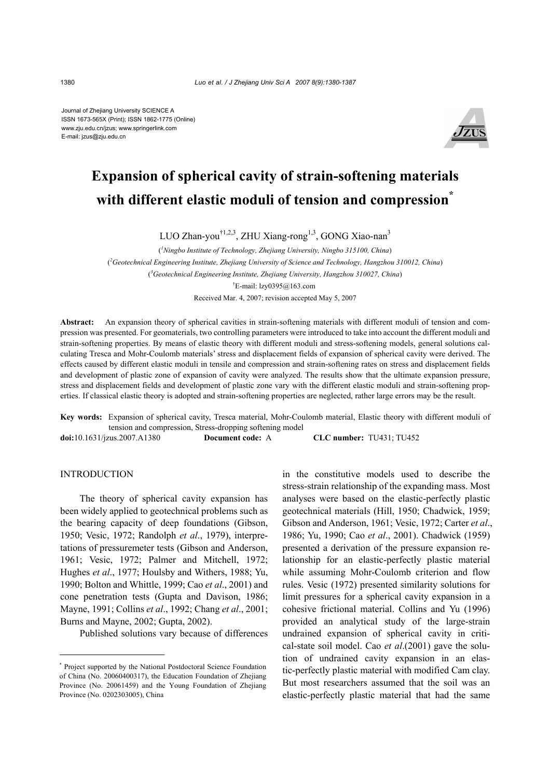Journal of Zhejiang University SCIENCE A ISSN 1673-565X (Print); ISSN 1862-1775 (Online) www.zju.edu.cn/jzus; www.springerlink.com E-mail: jzus@zju.edu.cn



# **Expansion of spherical cavity of strain-softening materials**  with different elastic moduli of tension and compression<sup>\*</sup>

LUO Zhan-you<sup>†1,2,3</sup>, ZHU Xiang-rong<sup>1,3</sup>, GONG Xiao-nan<sup>3</sup>

( *1 Ningbo Institute of Technology, Zhejiang University, Ningbo 315100, China*) ( *2 Geotechnical Engineering Institute, Zhejiang University of Science and Technology, Hangzhou 310012, China*) ( *3 Geotechnical Engineering Institute, Zhejiang University, Hangzhou 310027, China*) † E-mail: lzy0395@163.com Received Mar. 4, 2007; revision accepted May 5, 2007

**Abstract:** An expansion theory of spherical cavities in strain-softening materials with different moduli of tension and compression was presented. For geomaterials, two controlling parameters were introduced to take into account the different moduli and strain-softening properties. By means of elastic theory with different moduli and stress-softening models, general solutions calculating Tresca and Mohr-Coulomb materials' stress and displacement fields of expansion of spherical cavity were derived. The effects caused by different elastic moduli in tensile and compression and strain-softening rates on stress and displacement fields and development of plastic zone of expansion of cavity were analyzed. The results show that the ultimate expansion pressure, stress and displacement fields and development of plastic zone vary with the different elastic moduli and strain-softening properties. If classical elastic theory is adopted and strain-softening properties are neglected, rather large errors may be the result.

**Key words:** Expansion of spherical cavity, Tresca material, Mohr-Coulomb material, Elastic theory with different moduli of tension and compression, Stress-dropping softening model

**doi:**10.1631/jzus.2007.A1380 **Document code:** A **CLC number:** TU431; TU452

## INTRODUCTION

The theory of spherical cavity expansion has been widely applied to geotechnical problems such as the bearing capacity of deep foundations (Gibson, 1950; Vesic, 1972; Randolph *et al*., 1979), interpretations of pressuremeter tests (Gibson and Anderson, 1961; Vesic, 1972; Palmer and Mitchell, 1972; Hughes *et al*., 1977; Houlsby and Withers, 1988; Yu, 1990; Bolton and Whittle, 1999; Cao *et al*., 2001) and cone penetration tests (Gupta and Davison, 1986; Mayne, 1991; Collins *et al*., 1992; Chang *et al*., 2001; Burns and Mayne, 2002; Gupta, 2002).

Published solutions vary because of differences

in the constitutive models used to describe the stress-strain relationship of the expanding mass. Most analyses were based on the elastic-perfectly plastic geotechnical materials (Hill, 1950; Chadwick, 1959; Gibson and Anderson, 1961; Vesic, 1972; Carter *et al*., 1986; Yu, 1990; Cao *et al*., 2001). Chadwick (1959) presented a derivation of the pressure expansion relationship for an elastic-perfectly plastic material while assuming Mohr-Coulomb criterion and flow rules. Vesic (1972) presented similarity solutions for limit pressures for a spherical cavity expansion in a cohesive frictional material. Collins and Yu (1996) provided an analytical study of the large-strain undrained expansion of spherical cavity in critical-state soil model. Cao *et al*.(2001) gave the solution of undrained cavity expansion in an elastic-perfectly plastic material with modified Cam clay. But most researchers assumed that the soil was an elastic-perfectly plastic material that had the same

<sup>\*</sup> Project supported by the National Postdoctoral Science Foundation of China (No. 20060400317), the Education Foundation of Zhejiang Province (No. 20061459) and the Young Foundation of Zhejiang Province (No. 0202303005), China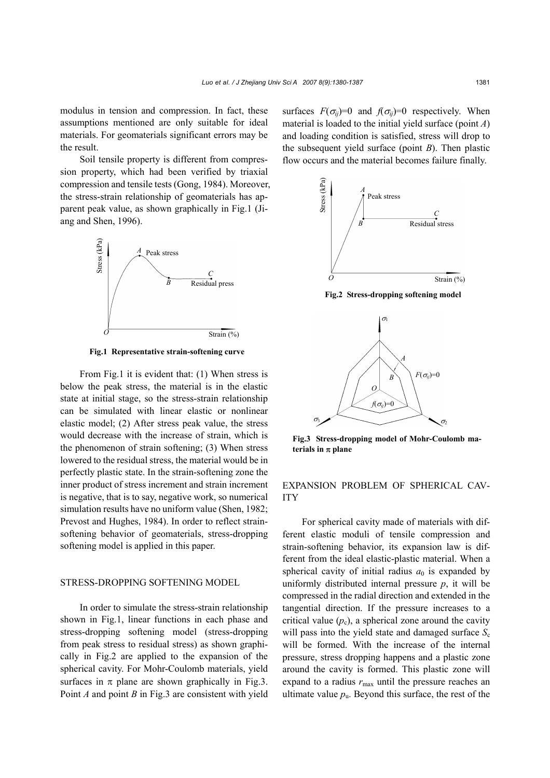modulus in tension and compression. In fact, these assumptions mentioned are only suitable for ideal materials. For geomaterials significant errors may be the result.

Soil tensile property is different from compression property, which had been verified by triaxial compression and tensile tests (Gong, 1984). Moreover, the stress-strain relationship of geomaterials has apparent peak value, as shown graphically in Fig.1 (Jiang and Shen, 1996).



**Fig.1 Representative strain-softening curve** 

From Fig.1 it is evident that: (1) When stress is below the peak stress, the material is in the elastic state at initial stage, so the stress-strain relationship can be simulated with linear elastic or nonlinear elastic model; (2) After stress peak value, the stress would decrease with the increase of strain, which is the phenomenon of strain softening; (3) When stress lowered to the residual stress, the material would be in perfectly plastic state. In the strain-softening zone the inner product of stress increment and strain increment is negative, that is to say, negative work, so numerical simulation results have no uniform value (Shen, 1982; Prevost and Hughes, 1984). In order to reflect strainsoftening behavior of geomaterials, stress-dropping softening model is applied in this paper.

# STRESS-DROPPING SOFTENING MODEL

In order to simulate the stress-strain relationship shown in Fig.1, linear functions in each phase and stress-dropping softening model (stress-dropping from peak stress to residual stress) as shown graphically in Fig.2 are applied to the expansion of the spherical cavity. For Mohr-Coulomb materials, yield surfaces in  $\pi$  plane are shown graphically in Fig.3. Point *A* and point *B* in Fig.3 are consistent with yield surfaces  $F(\sigma_{ii})=0$  and  $f(\sigma_{ii})=0$  respectively. When material is loaded to the initial yield surface (point *A*) and loading condition is satisfied, stress will drop to the subsequent yield surface (point *B*). Then plastic flow occurs and the material becomes failure finally.



**Fig.3 Stress-dropping model of Mohr-Coulomb materials in** π **plane** 

## EXPANSION PROBLEM OF SPHERICAL CAV-ITY

For spherical cavity made of materials with different elastic moduli of tensile compression and strain-softening behavior, its expansion law is different from the ideal elastic-plastic material. When a spherical cavity of initial radius  $a_0$  is expanded by uniformly distributed internal pressure *p*, it will be compressed in the radial direction and extended in the tangential direction. If the pressure increases to a critical value  $(p_c)$ , a spherical zone around the cavity will pass into the yield state and damaged surface  $S_c$ will be formed. With the increase of the internal pressure, stress dropping happens and a plastic zone around the cavity is formed. This plastic zone will expand to a radius  $r_{\text{max}}$  until the pressure reaches an ultimate value  $p_{\mu}$ . Beyond this surface, the rest of the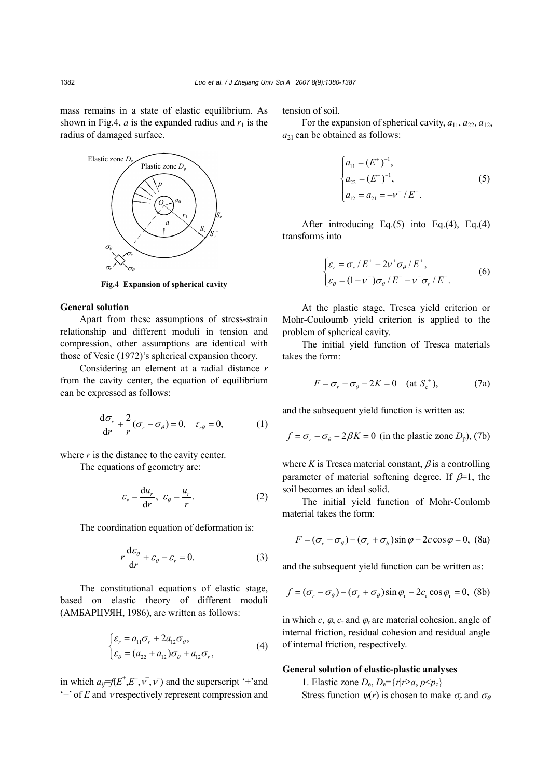mass remains in a state of elastic equilibrium. As shown in Fig.4,  $a$  is the expanded radius and  $r_1$  is the radius of damaged surface.



**Fig.4 Expansion of spherical cavity** 

### **General solution**

Apart from these assumptions of stress-strain relationship and different moduli in tension and compression, other assumptions are identical with those of Vesic (1972)'s spherical expansion theory.

Considering an element at a radial distance *r* from the cavity center, the equation of equilibrium can be expressed as follows:

$$
\frac{d\sigma_r}{dr} + \frac{2}{r}(\sigma_r - \sigma_\theta) = 0, \quad \tau_{r\theta} = 0,
$$
 (1)

where  $r$  is the distance to the cavity center.

The equations of geometry are:

$$
\varepsilon_r = \frac{\mathrm{d}u_r}{\mathrm{d}r}, \ \varepsilon_\theta = \frac{u_r}{r}.\tag{2}
$$

The coordination equation of deformation is:

$$
r\frac{\mathrm{d}\varepsilon_{\theta}}{\mathrm{d}r} + \varepsilon_{\theta} - \varepsilon_{r} = 0. \tag{3}
$$

The constitutional equations of elastic stage, based on elastic theory of different moduli (АМБАРЦУЯН, 1986), are written as follows:

$$
\begin{cases} \varepsilon_r = a_{11}\sigma_r + 2a_{12}\sigma_\theta, \\ \varepsilon_\theta = (a_{22} + a_{12})\sigma_\theta + a_{12}\sigma_r, \end{cases} \tag{4}
$$

in which  $a_{ij} = f(E^+, E^-, v^+, v^-)$  and the superscript '+'and '−' of *E* and ν respectively represent compression and

tension of soil.

For the expansion of spherical cavity,  $a_{11}$ ,  $a_{22}$ ,  $a_{12}$ , *a*21 can be obtained as follows:

$$
\begin{cases}\na_{11} = (E^+)^{-1}, \\
a_{22} = (E^-)^{-1}, \\
a_{12} = a_{21} = -V^- / E^-\n\end{cases} (5)
$$

After introducing Eq.(5) into Eq.(4), Eq.(4) transforms into

$$
\begin{cases} \varepsilon_r = \sigma_r / E^+ - 2\nu^+ \sigma_\theta / E^+, \\ \varepsilon_\theta = (1 - \nu^-) \sigma_\theta / E^- - \nu^- \sigma_r / E^- . \end{cases} \tag{6}
$$

At the plastic stage, Tresca yield criterion or Mohr-Couloumb yield criterion is applied to the problem of spherical cavity.

The initial yield function of Tresca materials takes the form:

$$
F = \sigma_r - \sigma_\theta - 2K = 0 \quad \text{(at } S_c^+), \tag{7a}
$$

and the subsequent yield function is written as:

$$
f = \sigma_r - \sigma_\theta - 2\beta K = 0
$$
 (in the plastic zone  $D_p$ ), (7b)

where  $K$  is Tresca material constant,  $\beta$  is a controlling parameter of material softening degree. If  $\beta$ =1, the soil becomes an ideal solid.

The initial yield function of Mohr-Coulomb material takes the form:

$$
F = (\sigma_r - \sigma_\theta) - (\sigma_r + \sigma_\theta)\sin\varphi - 2c\cos\varphi = 0, \text{ (8a)}
$$

and the subsequent yield function can be written as:

$$
f = (\sigma_r - \sigma_\theta) - (\sigma_r + \sigma_\theta)\sin\varphi_r - 2c_r\cos\varphi_r = 0, \text{ (8b)}
$$

in which *c*,  $\varphi$ ,  $c_r$  and  $\varphi$  are material cohesion, angle of internal friction, residual cohesion and residual angle of internal friction, respectively.

#### **General solution of elastic-plastic analyses**

1. Elastic zone  $D_e$ ,  $D_e = \{r|r \ge a, p \le p_c\}$ Stress function  $\psi(r)$  is chosen to make  $\sigma_r$  and  $\sigma_\theta$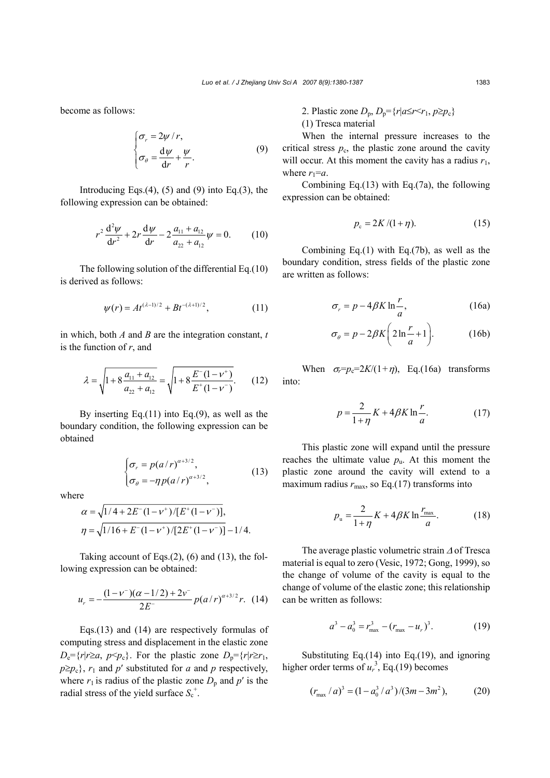become as follows:

$$
\begin{cases}\n\sigma_r = 2\psi/r, \\
\sigma_\theta = \frac{d\psi}{dr} + \frac{\psi}{r}.\n\end{cases}
$$
\n(9)

Introducing Eqs. $(4)$ ,  $(5)$  and  $(9)$  into Eq. $(3)$ , the following expression can be obtained:

$$
r^{2} \frac{d^{2} \psi}{dr^{2}} + 2r \frac{d \psi}{dr} - 2 \frac{a_{11} + a_{12}}{a_{22} + a_{12}} \psi = 0.
$$
 (10)

The following solution of the differential Eq.(10) is derived as follows:

$$
\psi(r) = At^{(\lambda - 1)/2} + Bt^{-(\lambda + 1)/2}, \tag{11}
$$

in which, both *A* and *B* are the integration constant, *t* is the function of *r*, and

$$
\lambda = \sqrt{1 + 8\frac{a_{11} + a_{12}}{a_{22} + a_{12}}} = \sqrt{1 + 8\frac{E^{-}(1 - \nu^{+})}{E^{+}(1 - \nu^{-})}}.
$$
 (12)

By inserting Eq.(11) into Eq.(9), as well as the boundary condition, the following expression can be obtained

$$
\begin{cases} \sigma_r = p(a/r)^{\alpha+3/2}, \\ \sigma_\theta = -\eta p(a/r)^{\alpha+3/2}, \end{cases}
$$
 (13)

where

$$
\alpha = \sqrt{1/4 + 2E^{-}(1 - \nu^{+})/[E^{+}(1 - \nu^{-})]},
$$
  
\n
$$
\eta = \sqrt{1/16 + E^{-}(1 - \nu^{+})/[2E^{+}(1 - \nu^{-})]} - 1/4.
$$

Taking account of Eqs. $(2)$ ,  $(6)$  and  $(13)$ , the following expression can be obtained:

$$
u_r = -\frac{(1 - v^{-})(\alpha - 1/2) + 2v^{-}}{2E^{-}} p(a/r)^{\alpha + 3/2} r. \tag{14}
$$

Eqs.(13) and (14) are respectively formulas of computing stress and displacement in the elastic zone  $D_e = \{r|r\geq a, p \leq p_c\}$ . For the plastic zone  $D_p = \{r|r\geq r_1, p_c\geq r_2\}$  $p \geq p_c$ ,  $r_1$  and  $p'$  substituted for *a* and *p* respectively, where  $r_1$  is radius of the plastic zone  $D_p$  and  $p'$  is the radial stress of the yield surface  $S_c^+$ .

2. Plastic zone  $D_p$ ,  $D_p = \{r | a \le r \le r_1, p \ge p_c\}$ (1) Tresca material

When the internal pressure increases to the critical stress  $p_c$ , the plastic zone around the cavity will occur. At this moment the cavity has a radius  $r_1$ , where  $r_1=a$ .

Combining Eq.(13) with Eq.(7a), the following expression can be obtained:

$$
p_{\rm c} = 2K/(1+\eta). \tag{15}
$$

Combining Eq.(1) with Eq.(7b), as well as the boundary condition, stress fields of the plastic zone are written as follows:

$$
\sigma_r = p - 4\beta K \ln \frac{r}{a},\tag{16a}
$$

$$
\sigma_{\theta} = p - 2\beta K \left( 2\ln \frac{r}{a} + 1 \right). \tag{16b}
$$

When  $\sigma_r = p_c = 2K/(1+\eta)$ , Eq.(16a) transforms into:

$$
p = \frac{2}{1+\eta}K + 4\beta K \ln\frac{r}{a}.\tag{17}
$$

This plastic zone will expand until the pressure reaches the ultimate value  $p_{\rm u}$ . At this moment the plastic zone around the cavity will extend to a maximum radius  $r_{\text{max}}$ , so Eq.(17) transforms into

$$
p_{\rm u} = \frac{2}{1+\eta} K + 4\beta K \ln \frac{r_{\rm max}}{a}.\tag{18}
$$

The average plastic volumetric strain ∆ of Tresca material is equal to zero (Vesic, 1972; Gong, 1999), so the change of volume of the cavity is equal to the change of volume of the elastic zone; this relationship can be written as follows:

$$
a^3 - a_0^3 = r_{\text{max}}^3 - (r_{\text{max}} - u_r)^3. \tag{19}
$$

Substituting Eq.(14) into Eq.(19), and ignoring higher order terms of  $u_r^3$ , Eq.(19) becomes

$$
(r_{\text{max}}/a)^3 = (1 - a_0^3/a^3)/(3m - 3m^2), \qquad (20)
$$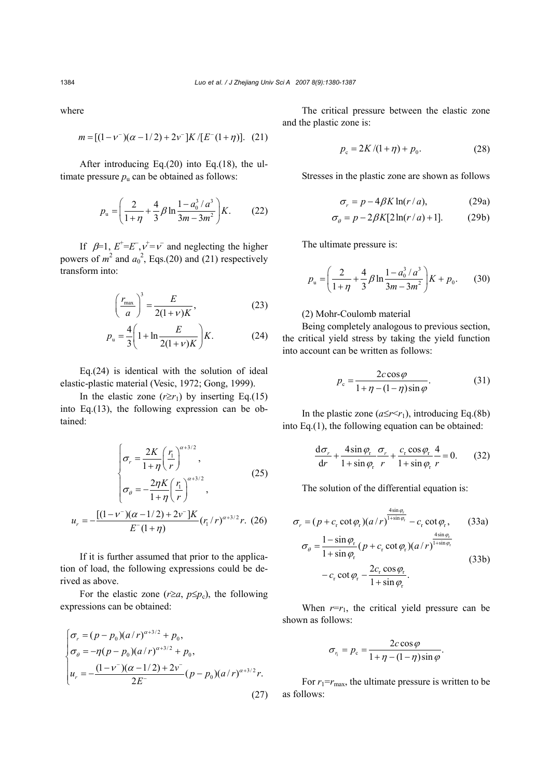where

$$
m = [(1 - v^{-})(\alpha - 1/2) + 2v^{-}]K/[E^{-}(1 + \eta)]. (21)
$$

After introducing Eq.(20) into Eq.(18), the ultimate pressure  $p_u$  can be obtained as follows:

$$
p_{\rm u} = \left(\frac{2}{1+\eta} + \frac{4}{3}\beta \ln \frac{1-a_0^3/a^3}{3m-3m^2}\right)K. \tag{22}
$$

If  $\beta=1$ ,  $E^+=E^-, v^+=v^-$  and neglecting the higher powers of  $m^2$  and  $a_0^2$ , Eqs.(20) and (21) respectively transform into:

$$
\left(\frac{r_{\text{max}}}{a}\right)^3 = \frac{E}{2(1+\nu)K},\tag{23}
$$

$$
p_{u} = \frac{4}{3} \left( 1 + \ln \frac{E}{2(1 + v)K} \right) K.
$$
 (24)

Eq.(24) is identical with the solution of ideal elastic-plastic material (Vesic, 1972; Gong, 1999).

In the elastic zone  $(r \ge r_1)$  by inserting Eq.(15) into Eq.(13), the following expression can be obtained:

$$
\sigma_r = \frac{2K}{1+\eta} \left(\frac{r_1}{r}\right)^{\alpha+3/2},
$$
\n
$$
\sigma_\theta = -\frac{2\eta K}{1+\eta} \left(\frac{r_1}{r}\right)^{\alpha+3/2},
$$
\n(25)

$$
u_r = -\frac{\left[ (1 - v^-)(\alpha - 1/2) + 2v^- \right] K}{E^-(1 + \eta)} (r_1/r)^{\alpha + 3/2} r. (26)
$$

If it is further assumed that prior to the application of load, the following expressions could be derived as above.

For the elastic zone ( $r \ge a$ ,  $p \le p_c$ ), the following expressions can be obtained:

$$
\begin{cases}\n\sigma_r = (p - p_0)(a/r)^{\alpha+3/2} + p_0, \\
\sigma_\theta = -\eta(p - p_0)(a/r)^{\alpha+3/2} + p_0, \\
u_r = -\frac{(1 - v^-)(\alpha - 1/2) + 2v^-}{2E^-}(p - p_0)(a/r)^{\alpha+3/2}r.\n\end{cases}
$$
\n(27)

The critical pressure between the elastic zone and the plastic zone is:

$$
p_{\rm c} = 2K/(1+\eta) + p_0. \tag{28}
$$

Stresses in the plastic zone are shown as follows

$$
\sigma_r = p - 4\beta K \ln(r/a), \qquad (29a)
$$

$$
\sigma_{\theta} = p - 2\beta K[2\ln(r/a) + 1].
$$
 (29b)

The ultimate pressure is:

$$
p_{\rm u} = \left(\frac{2}{1+\eta} + \frac{4}{3}\beta \ln \frac{1-a_0^3/a^3}{3m-3m^2}\right)K + p_0. \tag{30}
$$

### (2) Mohr-Coulomb material

Being completely analogous to previous section, the critical yield stress by taking the yield function into account can be written as follows:

$$
p_c = \frac{2c\cos\varphi}{1 + \eta - (1 - \eta)\sin\varphi}.
$$
 (31)

In the plastic zone  $(a \leq r \leq r_1)$ , introducing Eq.(8b) into Eq.(1), the following equation can be obtained:

$$
\frac{d\sigma_r}{dr} + \frac{4\sin\varphi_r}{1 + \sin\varphi_r} \frac{\sigma_r}{r} + \frac{c_r \cos\varphi_r}{1 + \sin\varphi_r} \frac{4}{r} = 0.
$$
 (32)

The solution of the differential equation is:

$$
\sigma_r = (p + c_r \cot \varphi_r)(a/r)^{\frac{4 \sin \varphi_r}{1 + \sin \varphi_r}} - c_r \cot \varphi_r,
$$
 (33a)  

$$
\sigma_\theta = \frac{1 - \sin \varphi_r}{1 + \sin \varphi_r} (p + c_r \cot \varphi_r)(a/r)^{\frac{4 \sin \varphi_r}{1 + \sin \varphi_r}}
$$
 (33b)  

$$
- c_r \cot \varphi_r - \frac{2c_r \cos \varphi_r}{1 + \sin \varphi_r}.
$$

When  $r=r_1$ , the critical yield pressure can be shown as follows:

$$
\sigma_{r_1} = p_c = \frac{2c \cos \varphi}{1 + \eta - (1 - \eta) \sin \varphi}.
$$

For  $r_1 = r_{\text{max}}$ , the ultimate pressure is written to be as follows: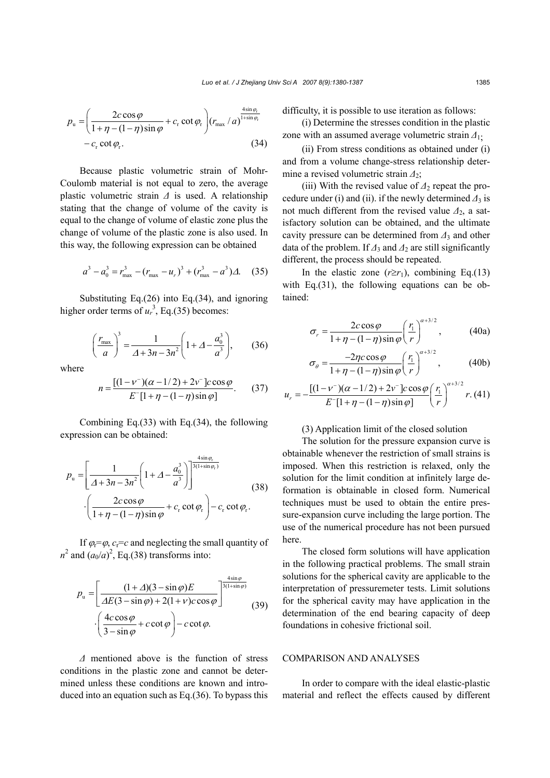$$
p_{\rm u} = \left(\frac{2c\cos\varphi}{1+\eta-(1-\eta)\sin\varphi} + c_{\rm r}\cot\varphi_{\rm r}\right) (r_{\rm max}/a)^{\frac{4\sin\varphi_{\rm r}}{1+\sin\varphi_{\rm r}}}
$$
  
- c<sub>r</sub> \cot\varphi\_{\rm r}. (34)

Because plastic volumetric strain of Mohr-Coulomb material is not equal to zero, the average plastic volumetric strain *∆* is used. A relationship stating that the change of volume of the cavity is equal to the change of volume of elastic zone plus the change of volume of the plastic zone is also used. In this way, the following expression can be obtained

$$
a^3 - a_0^3 = r_{\text{max}}^3 - (r_{\text{max}} - u_r)^3 + (r_{\text{max}}^3 - a^3) \Delta.
$$
 (35)

Substituting Eq.(26) into Eq.(34), and ignoring higher order terms of  $u_r^3$ , Eq.(35) becomes:

$$
\left(\frac{r_{\text{max}}}{a}\right)^3 = \frac{1}{\Delta + 3n - 3n^2} \left(1 + \Delta - \frac{a_0^3}{a^3}\right),\tag{36}
$$

where

$$
n = \frac{\left[ (1 - v^{-})(\alpha - 1/2) + 2v^{-} \right] c \cos \varphi}{E^{-}[1 + \eta - (1 - \eta)\sin \varphi]}.
$$
 (37)

Combining Eq.(33) with Eq.(34), the following expression can be obtained:

$$
p_{\mathrm{u}} = \left[\frac{1}{\Delta + 3n - 3n^2} \left(1 + \Delta - \frac{a_0^3}{a^3}\right)\right]^{\frac{4\sin\varphi_{\mathrm{r}}}{3(1 + \sin\varphi_{\mathrm{r}})}}
$$

$$
\cdot \left(\frac{2c\cos\varphi}{1 + \eta - (1 - \eta)\sin\varphi} + c_{\mathrm{r}}\cot\varphi_{\mathrm{r}}\right) - c_{\mathrm{r}}\cot\varphi_{\mathrm{r}}.
$$
(38)

If  $\varphi = \varphi$ ,  $c_r = c$  and neglecting the small quantity of  $n^2$  and  $(a_0/a)^2$ , Eq.(38) transforms into:

$$
p_{\rm u} = \left[ \frac{(1+\Delta)(3-\sin\varphi)E}{\Delta E(3-\sin\varphi) + 2(1+\nu)c\cos\varphi} \right]^{\frac{4\sin\varphi}{3(1+\sin\varphi)}}
$$
(39)  
 
$$
\cdot \left( \frac{4c\cos\varphi}{3-\sin\varphi} + c\cot\varphi \right) - c\cot\varphi.
$$

*∆* mentioned above is the function of stress conditions in the plastic zone and cannot be determined unless these conditions are known and introduced into an equation such as Eq.(36). To bypass this difficulty, it is possible to use iteration as follows:

(i) Determine the stresses condition in the plastic zone with an assumed average volumetric strain *∆*1;

(ii) From stress conditions as obtained under (i) and from a volume change-stress relationship determine a revised volumetric strain *∆*2;

(iii) With the revised value of *∆*2 repeat the procedure under (i) and (ii). if the newly determined  $\Delta_3$  is not much different from the revised value *∆*2, a satisfactory solution can be obtained, and the ultimate cavity pressure can be determined from *∆*3 and other data of the problem. If *∆*3 and *∆*2 are still significantly different, the process should be repeated.

In the elastic zone  $(r \ge r_1)$ , combining Eq.(13) with Eq.(31), the following equations can be obtained:

$$
\sigma_r = \frac{2c\cos\varphi}{1 + \eta - (1 - \eta)\sin\varphi} \left(\frac{r_1}{r}\right)^{\alpha + 3/2}, \qquad (40a)
$$

$$
\sigma_{\theta} = \frac{-2\eta c \cos \varphi}{1 + \eta - (1 - \eta) \sin \varphi} \left(\frac{r_1}{r}\right)^{\alpha + 3/2},\tag{40b}
$$

$$
u_r = -\frac{[(1 - v^{-})(\alpha - 1/2) + 2v^{-}]\cos\varphi}{E^{-}[1 + \eta - (1 - \eta)\sin\varphi]} \left(\frac{r_1}{r}\right)^{\alpha + 3/2} r. (41)
$$

### (3) Application limit of the closed solution

The solution for the pressure expansion curve is obtainable whenever the restriction of small strains is imposed. When this restriction is relaxed, only the solution for the limit condition at infinitely large deformation is obtainable in closed form. Numerical techniques must be used to obtain the entire pressure-expansion curve including the large portion. The use of the numerical procedure has not been pursued here.

The closed form solutions will have application in the following practical problems. The small strain solutions for the spherical cavity are applicable to the interpretation of pressuremeter tests. Limit solutions for the spherical cavity may have application in the determination of the end bearing capacity of deep foundations in cohesive frictional soil.

#### COMPARISON AND ANALYSES

In order to compare with the ideal elastic-plastic material and reflect the effects caused by different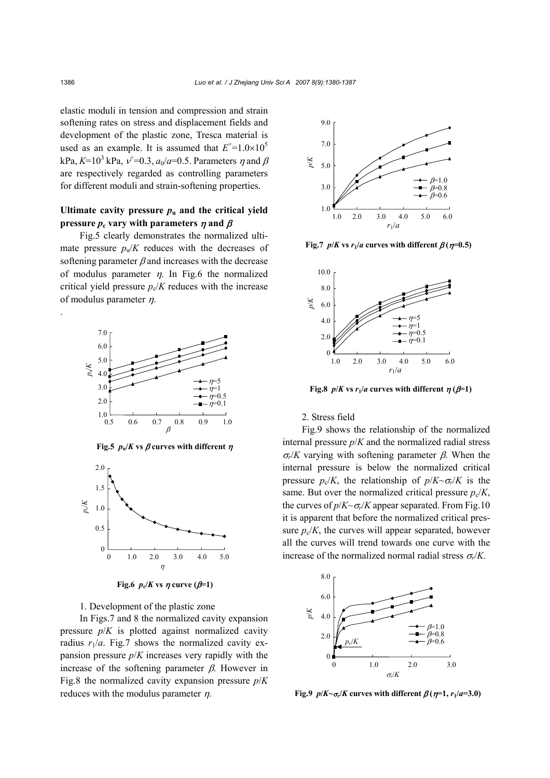elastic moduli in tension and compression and strain softening rates on stress and displacement fields and development of the plastic zone, Tresca material is used as an example. It is assumed that  $E^+$ =1.0×10<sup>5</sup> kPa,  $K=10^3$  kPa,  $v'=0.3$ ,  $a_0/a=0.5$ . Parameters  $\eta$  and  $\beta$ are respectively regarded as controlling parameters for different moduli and strain-softening properties.

# Ultimate cavity pressure  $p_u$  and the critical yield **pressure**  $p_c$  vary with parameters  $\eta$  and  $\beta$

Fig.5 clearly demonstrates the normalized ultimate pressure  $p_u/K$  reduces with the decreases of softening parameter  $\beta$  and increases with the decrease of modulus parameter  $\eta$ . In Fig.6 the normalized critical yield pressure  $p_c/K$  reduces with the increase of modulus parameter  $\eta$ .



**Fig.5**  $p_{\text{u}}/K$  vs  $\beta$  curves with different  $\eta$ 



**Fig.6**  $p_c/K$  vs  $\eta$  curve ( $\beta=1$ )

1. Development of the plastic zone

In Figs.7 and 8 the normalized cavity expansion pressure  $p/K$  is plotted against normalized cavity radius  $r_1/a$ . Fig.7 shows the normalized cavity expansion pressure *p*/*K* increases very rapidly with the increase of the softening parameter  $\beta$ . However in Fig.8 the normalized cavity expansion pressure *p*/*K* reduces with the modulus parameter  $\eta$ .



**Fig.7**  $p/K$  vs  $r_1/a$  curves with different  $\beta(\eta=0.5)$ 



**Fig.8**  $p/K$  vs  $r_1/a$  curves with different  $p(\beta=1)$ 

#### 2. Stress field

Fig.9 shows the relationship of the normalized internal pressure  $p/K$  and the normalized radial stress <sup>σ</sup>*r*/*K* varying with softening parameter β. When the internal pressure is below the normalized critical pressure  $p_c/K$ , the relationship of  $p/K \sim \sigma_r/K$  is the same. But over the normalized critical pressure  $p_c/K$ , the curves of  $p/K \sim \sigma/K$  appear separated. From Fig.10 it is apparent that before the normalized critical pressure  $p_c/K$ , the curves will appear separated, however all the curves will trend towards one curve with the increase of the normalized normal radial stress  $\sigma_r/K$ .



**Fig.9**  $p/K \sim \sigma_r/K$  curves with different  $\beta(\eta=1, r_1/a=3.0)$ 

.